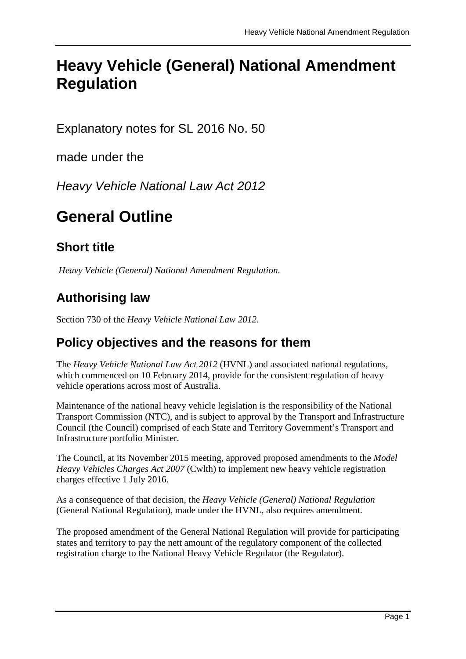# **Heavy Vehicle (General) National Amendment Regulation**

Explanatory notes for SL 2016 No. 50

made under the

*Heavy Vehicle National Law Act 2012*

# **General Outline**

## **Short title**

*Heavy Vehicle (General) National Amendment Regulation.*

# **Authorising law**

Section 730 of the *Heavy Vehicle National Law 2012*.

#### **Policy objectives and the reasons for them**

The *Heavy Vehicle National Law Act 2012* (HVNL) and associated national regulations, which commenced on 10 February 2014, provide for the consistent regulation of heavy vehicle operations across most of Australia.

Maintenance of the national heavy vehicle legislation is the responsibility of the National Transport Commission (NTC), and is subject to approval by the Transport and Infrastructure Council (the Council) comprised of each State and Territory Government's Transport and Infrastructure portfolio Minister.

The Council, at its November 2015 meeting, approved proposed amendments to the *Model Heavy Vehicles Charges Act 2007* (Cwlth) to implement new heavy vehicle registration charges effective 1 July 2016.

As a consequence of that decision, the *Heavy Vehicle (General) National Regulation* (General National Regulation), made under the HVNL, also requires amendment.

The proposed amendment of the General National Regulation will provide for participating states and territory to pay the nett amount of the regulatory component of the collected registration charge to the National Heavy Vehicle Regulator (the Regulator).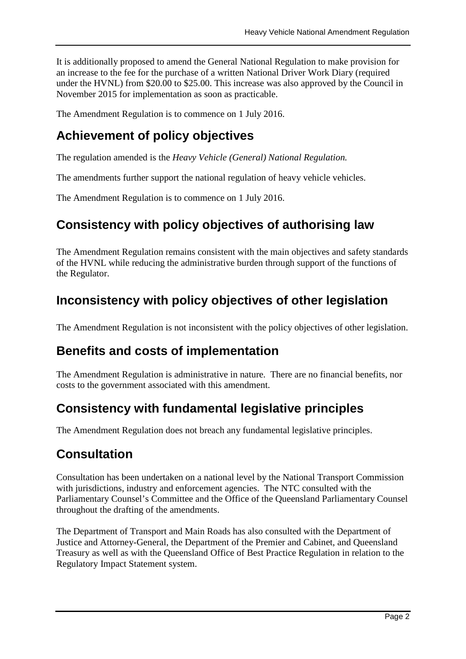It is additionally proposed to amend the General National Regulation to make provision for an increase to the fee for the purchase of a written National Driver Work Diary (required under the HVNL) from \$20.00 to \$25.00. This increase was also approved by the Council in November 2015 for implementation as soon as practicable.

The Amendment Regulation is to commence on 1 July 2016.

### **Achievement of policy objectives**

The regulation amended is the *Heavy Vehicle (General) National Regulation.*

The amendments further support the national regulation of heavy vehicle vehicles.

The Amendment Regulation is to commence on 1 July 2016.

#### **Consistency with policy objectives of authorising law**

The Amendment Regulation remains consistent with the main objectives and safety standards of the HVNL while reducing the administrative burden through support of the functions of the Regulator.

## **Inconsistency with policy objectives of other legislation**

The Amendment Regulation is not inconsistent with the policy objectives of other legislation.

#### **Benefits and costs of implementation**

The Amendment Regulation is administrative in nature. There are no financial benefits, nor costs to the government associated with this amendment.

#### **Consistency with fundamental legislative principles**

The Amendment Regulation does not breach any fundamental legislative principles.

#### **Consultation**

Consultation has been undertaken on a national level by the National Transport Commission with jurisdictions, industry and enforcement agencies. The NTC consulted with the Parliamentary Counsel's Committee and the Office of the Queensland Parliamentary Counsel throughout the drafting of the amendments.

The Department of Transport and Main Roads has also consulted with the Department of Justice and Attorney-General, the Department of the Premier and Cabinet, and Queensland Treasury as well as with the Queensland Office of Best Practice Regulation in relation to the Regulatory Impact Statement system.